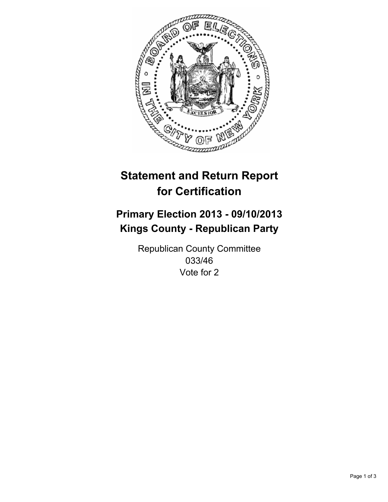

# **Statement and Return Report for Certification**

# **Primary Election 2013 - 09/10/2013 Kings County - Republican Party**

Republican County Committee 033/46 Vote for 2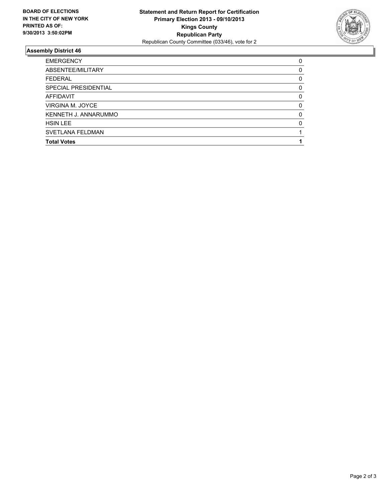

## **Assembly District 46**

| ABSENTEE/MILITARY       | $\Omega$ |
|-------------------------|----------|
| <b>FEDERAL</b>          | 0        |
| SPECIAL PRESIDENTIAL    | $\Omega$ |
| <b>AFFIDAVIT</b>        | 0        |
| VIRGINA M. JOYCE        | 0        |
| KENNETH J. ANNARUMMO    | $\Omega$ |
| <b>HSIN LEE</b>         | $\Omega$ |
| <b>SVETLANA FELDMAN</b> |          |
| <b>Total Votes</b>      |          |